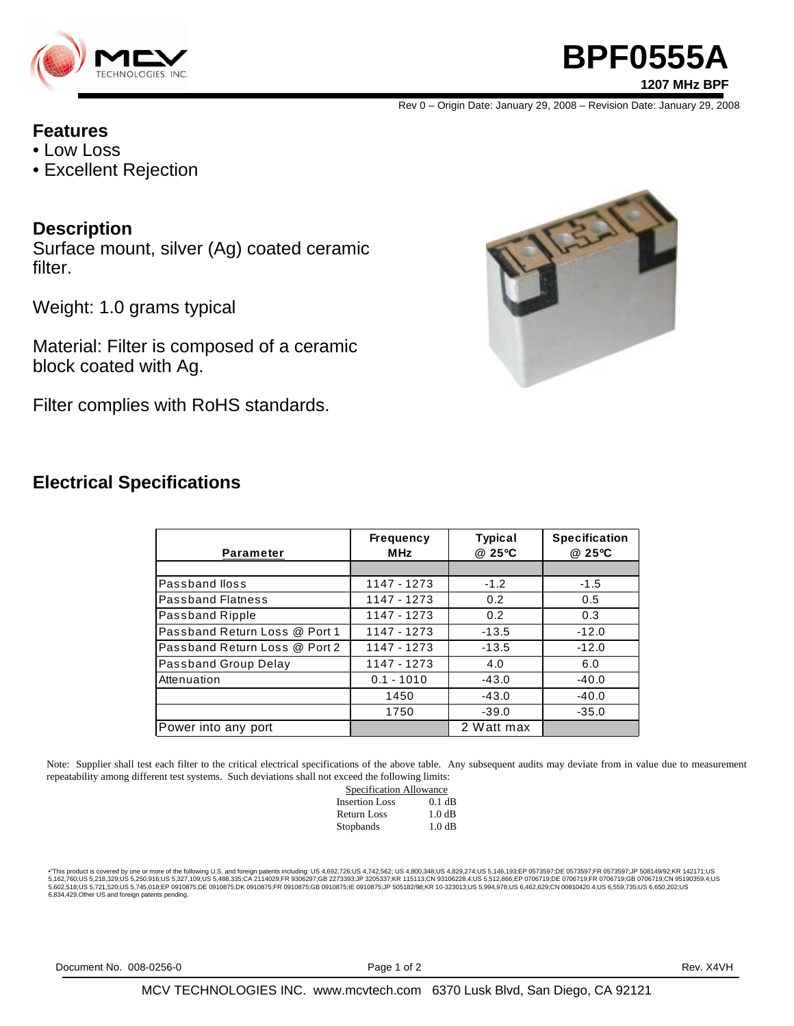

# **BPF0555A 1207 MHz BPF**

Rev 0 – Origin Date: January 29, 2008 – Revision Date: January 29, 2008

### **Features**

- Low Loss
- Excellent Rejection

### **Description**

Surface mount, silver (Ag) coated ceramic filter.

Weight: 1.0 grams typical

Material: Filter is composed of a ceramic block coated with Ag.

Filter complies with RoHS standards.



### **Electrical Specifications**

| <b>Parameter</b>              | <b>Frequency</b><br><b>MHz</b> | <b>Typical</b><br>@ 25°C | <b>Specification</b><br>@ 25°C |
|-------------------------------|--------------------------------|--------------------------|--------------------------------|
|                               |                                |                          |                                |
| Passband Iloss                | 1147 - 1273                    | $-1.2$                   | $-1.5$                         |
| <b>Passband Flatness</b>      | 1147 - 1273                    | 0.2                      | 0.5                            |
| Passband Ripple               | 1147 - 1273                    | 0.2                      | 0.3                            |
| Passband Return Loss @ Port 1 | 1147 - 1273                    | $-13.5$                  | $-12.0$                        |
| Passband Return Loss @ Port 2 | 1147 - 1273                    | $-13.5$                  | $-12.0$                        |
| Passband Group Delay          | 1147 - 1273                    | 4.0                      | 6.0                            |
| Attenuation                   | $0.1 - 1010$                   | $-43.0$                  | $-40.0$                        |
|                               | 1450                           | $-43.0$                  | $-40.0$                        |
|                               | 1750                           | $-39.0$                  | $-35.0$                        |
| Power into any port           |                                | 2 Watt max               |                                |

Note: Supplier shall test each filter to the critical electrical specifications of the above table. Any subsequent audits may deviate from in value due to measurement repeatability among different test systems. Such deviations shall not exceed the following limits:

| Specification Allowance |          |  |
|-------------------------|----------|--|
| <b>Insertion Loss</b>   | $0.1$ dB |  |
| Return Loss             | 1.0 dB   |  |
| Stopbands               | 1.0 dB   |  |

\*This product is covered by one or more of the following U.S. and foreign patents including: US 4,692,726;US 4,742,562; US 4,800,348;US 4,829,274;US 5,146,193;EP 0573597;DE 0573597;FR 0573597;JP 508149/92;KR 142171;US<br>5,16 6,834,429.Other US and foreign patents pending.

Document No. 008-0256-0 **Page 1 of 2** Page 1 of 2 Rev. X4VH